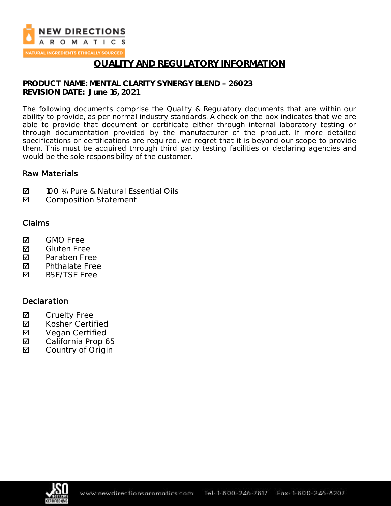

NATURAL INGREDIENTS ETHICALLY SOURCED

### **QUALITY AND REGULATORY INFORMATION**

**PRODUCT NAME: MENTAL CLARITY SYNERGY BLEND 26023 REVISION DATE: June 16, 2021**

The following documents comprise the Quality & Regulatory documents that are within our ability to provide, as per normal industry standards. A check on the box indicates that we are able to provide that document or certificate either through internal laboratory testing or through documentation provided by the manufacturer of the product. If more detailed specifications or certifications are required, we regret that it is beyond our scope to provide them. This must be acquired through third party testing facilities or declaring agencies and would be the sole responsibility of the customer.

### Raw Materials

- **Ø** 100 % Pure & Natural Essential Oils
- **Ø** Composition Statement

#### Claims

- **M** GMO Free
- **M** Gluten Free
- **Z** Paraben Free
- $\nabla$  Phthalate Free<br>  $\nabla$  BSF/TSF Free
- BSE/TSE Free

### **Declaration**

- ☑ Cruelty Free<br>☑ Kosher Certi
- Kosher Certified
- ⊠ Vegan Certified<br>⊠ California Prop 6
- California Prop 65
- **Ø** Country of Origin

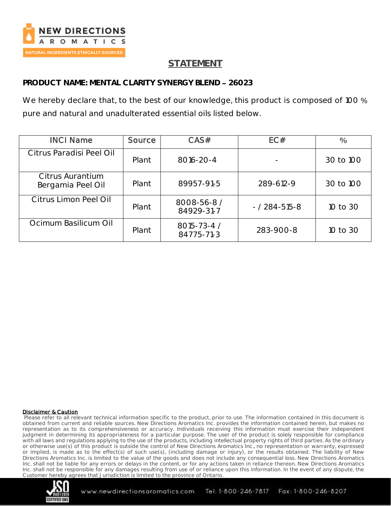

# **STATEMENT**

**PRODUCT NAME: MENTAL CLARITY SYNERGY BLEND 26023**

We hereby declare that, to the best of our knowledge, this product is composed of 100 % pure and natural and unadulterated essential oils listed below.

| <b>INCI Name</b>                      | Source | CAS#                      | EC#                 | $\frac{0}{0}$ |
|---------------------------------------|--------|---------------------------|---------------------|---------------|
| Citrus Paradisi Peel Oil              | Plant  | 8016-20-4                 |                     | 30 to 100     |
| Citrus Aurantium<br>Bergamia Peel Oil | Plant  | 89957-91-5                | 289-612-9           | 30 to 100     |
| Citrus Limon Peel Oil                 | Plant  | 8008-56-8 /<br>84929-31-7 | $- / 284 - 515 - 8$ | 10 to 30      |
| Ocimum Basilicum Oil                  | Plant  | 8015-73-4 /<br>84775-71-3 | 283-900-8           | 10 to 30      |

#### Disclaimer & Caution

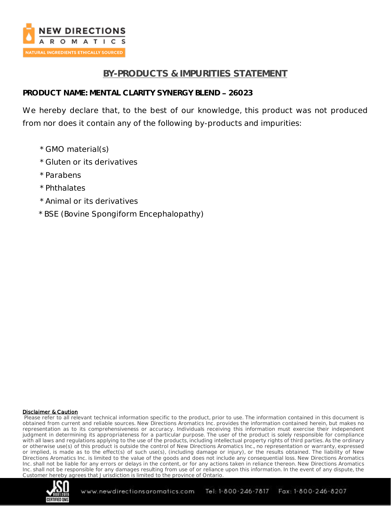

# **BY-PRODUCTS & IMPURITIES STATEMENT**

### **PRODUCT NAME: MENTAL CLARITY SYNERGY BLEND 26023**

We hereby declare that, to the best of our knowledge, this product was not produced from nor does it contain any of the following by-products and impurities:

- \* GMO material(s)
- \* Gluten or its derivatives
- \* Parabens
- \* Phthalates
- \* Animal or its derivatives
- \* BSE (Bovine Spongiform Encephalopathy)

#### Disclaimer & Caution

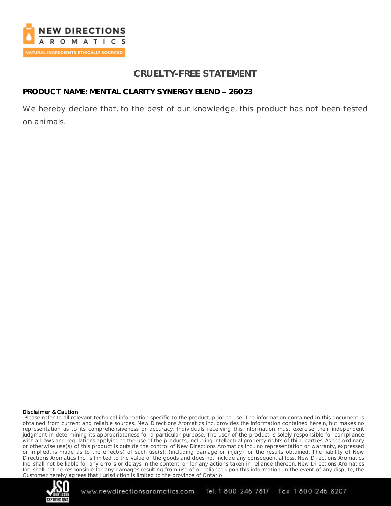

# **CRUELTY-FREE STATEMENT**

### **PRODUCT NAME: MENTAL CLARITY SYNERGY BLEND 26023**

We hereby declare that, to the best of our knowledge, this product has not been tested on animals.

#### Disclaimer & Caution

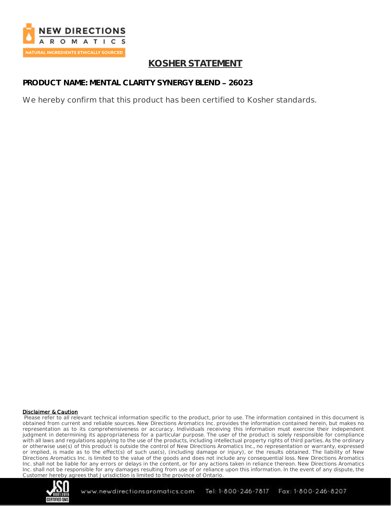

# **KOSHER STATEMENT**

### **PRODUCT NAME: MENTAL CLARITY SYNERGY BLEND 26023**

We hereby confirm that this product has been certified to Kosher standards.

#### Disclaimer & Caution

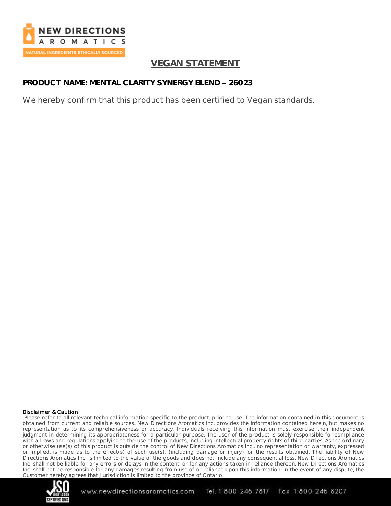

# **VEGAN STATEMENT**

# **PRODUCT NAME: MENTAL CLARITY SYNERGY BLEND 26023**

We hereby confirm that this product has been certified to Vegan standards.

#### Disclaimer & Caution

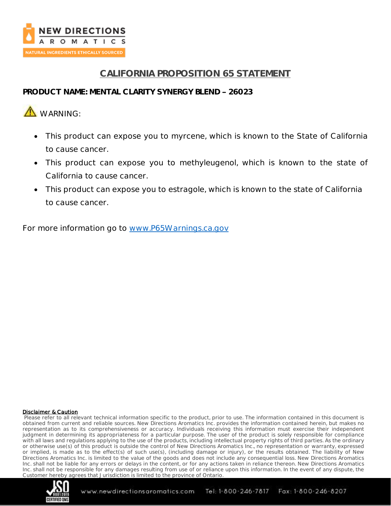

# **CALIFORNIA PROPOSITION 65 STATEMENT**

### **PRODUCT NAME: MENTAL CLARITY SYNERGY BLEND 26023**

# **A** WARNING:

- This product can expose you to myrcene, which is known to the State of California to cause cancer.
- This product can expose you to methyleugenol, which is known to the state of California to cause cancer.
- This product can expose you to estragole, which is known to the state of California to cause cancer.

For more information go to [www.P65Warnings.ca.gov](http://www.p65warnings.ca.gov/)

#### Disclaimer & Caution